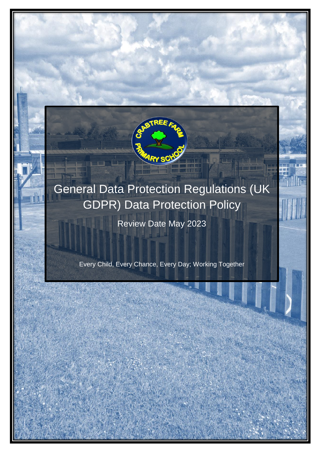

# General Data Protection Regulations (UK GDPR) Data Protection Policy

Review Date May 2023

Every Child, Every Chance, Every Day; Working Together

 DATA PROTECTION POLICY  $E$  and  $E$  and  $E$  and  $E$  and  $E$  and  $E$  and  $E$  and  $E$  and  $E$  and  $E$  and  $E$  and  $E$  and  $E$  and  $E$  and  $E$  and  $E$  and  $E$  and  $E$  and  $E$  and  $E$  and  $E$  and  $E$  and  $E$  and  $E$  and  $E$  and  $E$  and  $E$  and  $E$  a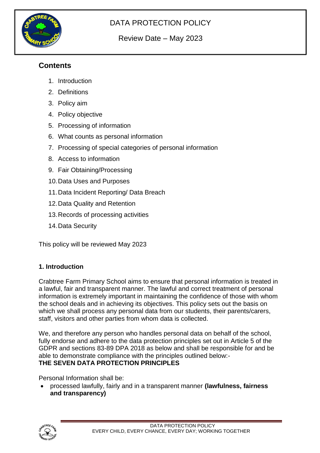

# DATA PROTECTION POLICY

# Review Date – May 2023

# **Contents**

- 1. Introduction
- 2. Definitions
- 3. Policy aim
- 4. Policy objective
- 5. Processing of information
- 6. What counts as personal information
- 7. Processing of special categories of personal information
- 8. Access to information
- 9. Fair Obtaining/Processing
- 10.Data Uses and Purposes
- 11.Data Incident Reporting/ Data Breach
- 12.Data Quality and Retention
- 13.Records of processing activities
- 14.Data Security

This policy will be reviewed May 2023

## **1. Introduction**

Crabtree Farm Primary School aims to ensure that personal information is treated in a lawful, fair and transparent manner. The lawful and correct treatment of personal information is extremely important in maintaining the confidence of those with whom the school deals and in achieving its objectives. This policy sets out the basis on which we shall process any personal data from our students, their parents/carers, staff, visitors and other parties from whom data is collected.

We, and therefore any person who handles personal data on behalf of the school, fully endorse and adhere to the data protection principles set out in Article 5 of the GDPR and sections 83-89 DPA 2018 as below and shall be responsible for and be able to demonstrate compliance with the principles outlined below:- **THE SEVEN DATA PROTECTION PRINCIPLES** 

Personal Information shall be:

• processed lawfully, fairly and in a transparent manner **(lawfulness, fairness and transparency)** 

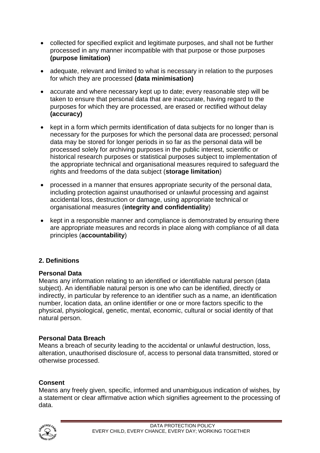- collected for specified explicit and legitimate purposes, and shall not be further processed in any manner incompatible with that purpose or those purposes **(purpose limitation)**
- adequate, relevant and limited to what is necessary in relation to the purposes for which they are processed **(data minimisation)**
- accurate and where necessary kept up to date; every reasonable step will be taken to ensure that personal data that are inaccurate, having regard to the purposes for which they are processed, are erased or rectified without delay **(accuracy)**
- kept in a form which permits identification of data subjects for no longer than is necessary for the purposes for which the personal data are processed; personal data may be stored for longer periods in so far as the personal data will be processed solely for archiving purposes in the public interest, scientific or historical research purposes or statistical purposes subject to implementation of the appropriate technical and organisational measures required to safeguard the rights and freedoms of the data subject (**storage limitation**)
- processed in a manner that ensures appropriate security of the personal data, including protection against unauthorised or unlawful processing and against accidental loss, destruction or damage, using appropriate technical or organisational measures (**integrity and confidentiality**)
- kept in a responsible manner and compliance is demonstrated by ensuring there are appropriate measures and records in place along with compliance of all data principles (**accountability**)

## **2. Definitions**

#### **Personal Data**

Means any information relating to an identified or identifiable natural person (data subject). An identifiable natural person is one who can be identified, directly or indirectly, in particular by reference to an identifier such as a name, an identification number, location data, an online identifier or one or more factors specific to the physical, physiological, genetic, mental, economic, cultural or social identity of that natural person.

#### **Personal Data Breach**

Means a breach of security leading to the accidental or unlawful destruction, loss, alteration, unauthorised disclosure of, access to personal data transmitted, stored or otherwise processed.

## **Consent**

Means any freely given, specific, informed and unambiguous indication of wishes, by a statement or clear affirmative action which signifies agreement to the processing of data.

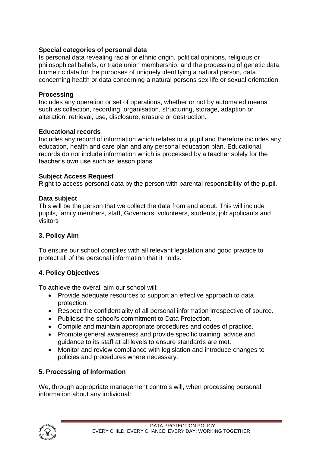#### **Special categories of personal data**

Is personal data revealing racial or ethnic origin, political opinions, religious or philosophical beliefs, or trade union membership, and the processing of genetic data, biometric data for the purposes of uniquely identifying a natural person, data concerning health or data concerning a natural persons sex life or sexual orientation.

#### **Processing**

Includes any operation or set of operations, whether or not by automated means such as collection, recording, organisation, structuring, storage, adaption or alteration, retrieval, use, disclosure, erasure or destruction.

#### **Educational records**

Includes any record of information which relates to a pupil and therefore includes any education, health and care plan and any personal education plan. Educational records do not include information which is processed by a teacher solely for the teacher's own use such as lesson plans.

#### **Subject Access Request**

Right to access personal data by the person with parental responsibility of the pupil.

#### **Data subject**

This will be the person that we collect the data from and about. This will include pupils, family members, staff, Governors, volunteers, students, job applicants and visitors

#### **3. Policy Aim**

To ensure our school complies with all relevant legislation and good practice to protect all of the personal information that it holds.

#### **4. Policy Objectives**

To achieve the overall aim our school will:

- Provide adequate resources to support an effective approach to data protection.
- Respect the confidentiality of all personal information irrespective of source.
- Publicise the school's commitment to Data Protection.
- Compile and maintain appropriate procedures and codes of practice.
- Promote general awareness and provide specific training, advice and guidance to its staff at all levels to ensure standards are met.
- Monitor and review compliance with legislation and introduce changes to policies and procedures where necessary.

## **5. Processing of Information**

We, through appropriate management controls will, when processing personal information about any individual:

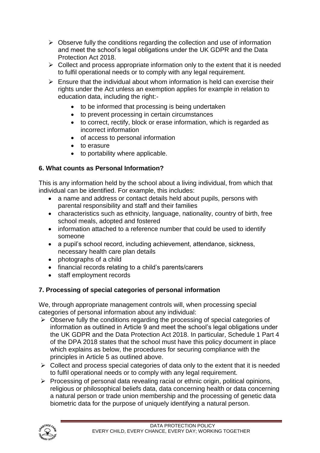- $\triangleright$  Observe fully the conditions regarding the collection and use of information and meet the school's legal obligations under the UK GDPR and the Data Protection Act 2018.
- $\triangleright$  Collect and process appropriate information only to the extent that it is needed to fulfil operational needs or to comply with any legal requirement.
- $\triangleright$  Ensure that the individual about whom information is held can exercise their rights under the Act unless an exemption applies for example in relation to education data, including the right:-
	- to be informed that processing is being undertaken
	- to prevent processing in certain circumstances
	- to correct, rectify, block or erase information, which is regarded as incorrect information
	- of access to personal information
	- to erasure
	- to portability where applicable.

# **6. What counts as Personal Information?**

This is any information held by the school about a living individual, from which that individual can be identified. For example, this includes:

- a name and address or contact details held about pupils, persons with parental responsibility and staff and their families
- characteristics such as ethnicity, language, nationality, country of birth, free school meals, adopted and fostered
- information attached to a reference number that could be used to identify someone
- a pupil's school record, including achievement, attendance, sickness, necessary health care plan details
- photographs of a child
- financial records relating to a child's parents/carers
- staff employment records

# **7. Processing of special categories of personal information**

We, through appropriate management controls will, when processing special categories of personal information about any individual:

- ➢ Observe fully the conditions regarding the processing of special categories of information as outlined in Article 9 and meet the school's legal obligations under the UK GDPR and the Data Protection Act 2018. In particular, Schedule 1 Part 4 of the DPA 2018 states that the school must have this policy document in place which explains as below, the procedures for securing compliance with the principles in Article 5 as outlined above.
- ➢ Collect and process special categories of data only to the extent that it is needed to fulfil operational needs or to comply with any legal requirement.
- ➢ Processing of personal data revealing racial or ethnic origin, political opinions, religious or philosophical beliefs data, data concerning health or data concerning a natural person or trade union membership and the processing of genetic data biometric data for the purpose of uniquely identifying a natural person.

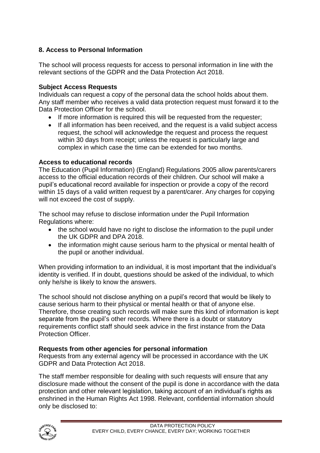# **8. Access to Personal Information**

The school will process requests for access to personal information in line with the relevant sections of the GDPR and the Data Protection Act 2018.

#### **Subject Access Requests**

Individuals can request a copy of the personal data the school holds about them. Any staff member who receives a valid data protection request must forward it to the Data Protection Officer for the school.

- If more information is required this will be requested from the requester:
- If all information has been received, and the request is a valid subject access request, the school will acknowledge the request and process the request within 30 days from receipt; unless the request is particularly large and complex in which case the time can be extended for two months.

#### **Access to educational records**

The Education (Pupil Information) (England) Regulations 2005 allow parents/carers access to the official education records of their children. Our school will make a pupil's educational record available for inspection or provide a copy of the record within 15 days of a valid written request by a parent/carer. Any charges for copying will not exceed the cost of supply.

The school may refuse to disclose information under the Pupil Information Regulations where:

- the school would have no right to disclose the information to the pupil under the UK GDPR and DPA 2018.
- the information might cause serious harm to the physical or mental health of the pupil or another individual.

When providing information to an individual, it is most important that the individual's identity is verified. If in doubt, questions should be asked of the individual, to which only he/she is likely to know the answers.

The school should not disclose anything on a pupil's record that would be likely to cause serious harm to their physical or mental health or that of anyone else. Therefore, those creating such records will make sure this kind of information is kept separate from the pupil's other records. Where there is a doubt or statutory requirements conflict staff should seek advice in the first instance from the Data Protection Officer.

## **Requests from other agencies for personal information**

Requests from any external agency will be processed in accordance with the UK GDPR and Data Protection Act 2018.

The staff member responsible for dealing with such requests will ensure that any disclosure made without the consent of the pupil is done in accordance with the data protection and other relevant legislation, taking account of an individual's rights as enshrined in the Human Rights Act 1998. Relevant, confidential information should only be disclosed to:

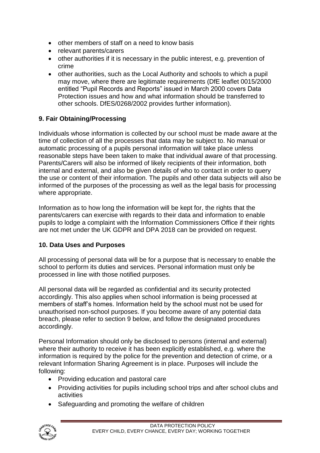- other members of staff on a need to know basis
- relevant parents/carers
- other authorities if it is necessary in the public interest, e.g. prevention of crime
- other authorities, such as the Local Authority and schools to which a pupil may move, where there are legitimate requirements (DfE leaflet 0015/2000 entitled "Pupil Records and Reports" issued in March 2000 covers Data Protection issues and how and what information should be transferred to other schools. DfES/0268/2002 provides further information).

# **9. Fair Obtaining/Processing**

Individuals whose information is collected by our school must be made aware at the time of collection of all the processes that data may be subject to. No manual or automatic processing of a pupils personal information will take place unless reasonable steps have been taken to make that individual aware of that processing. Parents/Carers will also be informed of likely recipients of their information, both internal and external, and also be given details of who to contact in order to query the use or content of their information. The pupils and other data subjects will also be informed of the purposes of the processing as well as the legal basis for processing where appropriate.

Information as to how long the information will be kept for, the rights that the parents/carers can exercise with regards to their data and information to enable pupils to lodge a complaint with the Information Commissioners Office if their rights are not met under the UK GDPR and DPA 2018 can be provided on request.

## **10. Data Uses and Purposes**

All processing of personal data will be for a purpose that is necessary to enable the school to perform its duties and services. Personal information must only be processed in line with those notified purposes.

All personal data will be regarded as confidential and its security protected accordingly. This also applies when school information is being processed at members of staff's homes. Information held by the school must not be used for unauthorised non-school purposes. If you become aware of any potential data breach, please refer to section 9 below, and follow the designated procedures accordingly.

Personal Information should only be disclosed to persons (internal and external) where their authority to receive it has been explicitly established, e.g. where the information is required by the police for the prevention and detection of crime, or a relevant Information Sharing Agreement is in place. Purposes will include the following:

- Providing education and pastoral care
- Providing activities for pupils including school trips and after school clubs and activities
- Safeguarding and promoting the welfare of children

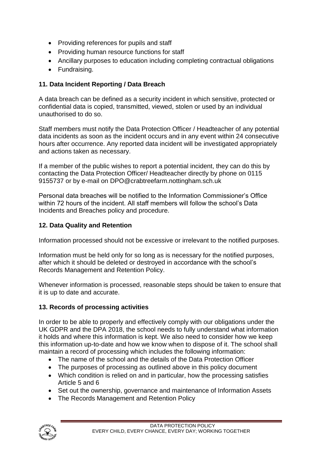- Providing references for pupils and staff
- Providing human resource functions for staff
- Ancillary purposes to education including completing contractual obligations
- Fundraising.

## **11. Data Incident Reporting / Data Breach**

A data breach can be defined as a security incident in which sensitive, protected or confidential data is copied, transmitted, viewed, stolen or used by an individual unauthorised to do so.

Staff members must notify the Data Protection Officer / Headteacher of any potential data incidents as soon as the incident occurs and in any event within 24 consecutive hours after occurrence. Any reported data incident will be investigated appropriately and actions taken as necessary.

If a member of the public wishes to report a potential incident, they can do this by contacting the Data Protection Officer/ Headteacher directly by phone on 0115 9155737 or by e-mail on DPO@crabtreefarm.nottingham.sch.uk

Personal data breaches will be notified to the Information Commissioner's Office within 72 hours of the incident. All staff members will follow the school's Data Incidents and Breaches policy and procedure.

## **12. Data Quality and Retention**

Information processed should not be excessive or irrelevant to the notified purposes.

Information must be held only for so long as is necessary for the notified purposes, after which it should be deleted or destroyed in accordance with the school's Records Management and Retention Policy.

Whenever information is processed, reasonable steps should be taken to ensure that it is up to date and accurate.

## **13. Records of processing activities**

In order to be able to properly and effectively comply with our obligations under the UK GDPR and the DPA 2018, the school needs to fully understand what information it holds and where this information is kept. We also need to consider how we keep this information up-to-date and how we know when to dispose of it. The school shall maintain a record of processing which includes the following information:

- The name of the school and the details of the Data Protection Officer
- The purposes of processing as outlined above in this policy document
- Which condition is relied on and in particular, how the processing satisfies Article 5 and 6
- Set out the ownership, governance and maintenance of Information Assets
- The Records Management and Retention Policy

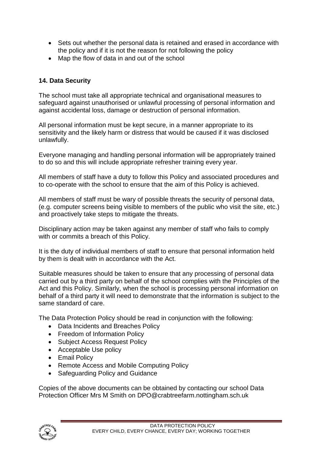- Sets out whether the personal data is retained and erased in accordance with the policy and if it is not the reason for not following the policy
- Map the flow of data in and out of the school

# **14. Data Security**

The school must take all appropriate technical and organisational measures to safeguard against unauthorised or unlawful processing of personal information and against accidental loss, damage or destruction of personal information.

All personal information must be kept secure, in a manner appropriate to its sensitivity and the likely harm or distress that would be caused if it was disclosed unlawfully.

Everyone managing and handling personal information will be appropriately trained to do so and this will include appropriate refresher training every year.

All members of staff have a duty to follow this Policy and associated procedures and to co-operate with the school to ensure that the aim of this Policy is achieved.

All members of staff must be wary of possible threats the security of personal data, (e.g. computer screens being visible to members of the public who visit the site, etc.) and proactively take steps to mitigate the threats.

Disciplinary action may be taken against any member of staff who fails to comply with or commits a breach of this Policy.

It is the duty of individual members of staff to ensure that personal information held by them is dealt with in accordance with the Act.

Suitable measures should be taken to ensure that any processing of personal data carried out by a third party on behalf of the school complies with the Principles of the Act and this Policy. Similarly, when the school is processing personal information on behalf of a third party it will need to demonstrate that the information is subject to the same standard of care.

The Data Protection Policy should be read in conjunction with the following:

- Data Incidents and Breaches Policy
- Freedom of Information Policy
- Subject Access Request Policy
- Acceptable Use policy
- Email Policy
- Remote Access and Mobile Computing Policy
- Safeguarding Policy and Guidance

Copies of the above documents can be obtained by contacting our school Data Protection Officer Mrs M Smith on DPO@crabtreefarm.nottingham.sch.uk